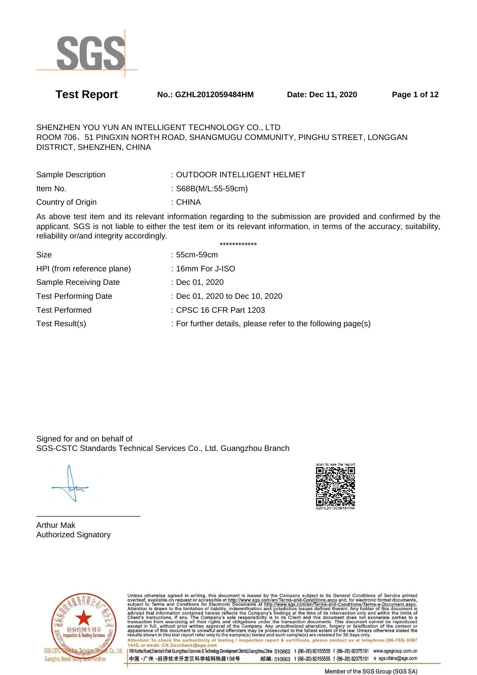

**Test Report No.: GZHL2012059484HM Date: Dec 11, 2020 Page 1 of 12** 

SHENZHEN YOU YUN AN INTELLIGENT TECHNOLOGY CO., LTD ROOM 706,51 PINGXIN NORTH ROAD, SHANGMUGU COMMUNITY, PINGHU STREET, LONGGAN DISTRICT, SHENZHEN, CHINA

| Sample Description | : OUTDOOR INTELLIGENT HELMET |
|--------------------|------------------------------|
| Item No.           | : $S68B(M/L:55-59cm)$        |
| Country of Origin  | : CHINA                      |

As above test item and its relevant information regarding to the submission are provided and confirmed by the applicant. SGS is not liable to either the test item or its relevant information, in terms of the accuracy, suitability, reliability or/and integrity accordingly. \*\*\*\*\*\*\*\*\*\*\*\*

| Size                        | : 55cm-59cm                                                  |
|-----------------------------|--------------------------------------------------------------|
| HPI (from reference plane)  | $: 16$ mm For J-ISO                                          |
| Sample Receiving Date       | : Dec 01, 2020                                               |
| <b>Test Performing Date</b> | : Dec 01, 2020 to Dec 10, 2020                               |
| <b>Test Performed</b>       | : CPSC 16 CFR Part 1203                                      |
| Test Result(s)              | : For further details, please refer to the following page(s) |
|                             |                                                              |

Signed for and on behalf of SGS-CSTC Standards Technical Services Co., Ltd. Guangzhou Branch



Arthur Mak Authorized Signatory

—————————————



Unless otherwise agreed in writing, this document is issued by the Company subject to its General Conditions of Service printed<br>overleaf, available on request or accessible at http://www.sgs.com/en/Terms-and-Conditions.asp Attention: To check the authenticity of testing / inspection report & certificate, please contact us at telephone: (86-755) 8307<br>1443, or email: CN.Doccheck@sgs.com

198 Kezhu Road,Scientech Park Guangzhou Economic & Technology Development District,Guangzhou,China 510663 t (86-20) 82155555 f (86-20) 82075191 www.sgsgroup.com.cn 中国·广州·经济技术开发区科学城科珠路198号 邮编: 510663 t (86-20) 82155555 f (86-20) 82075191 e sgs.china@sgs.com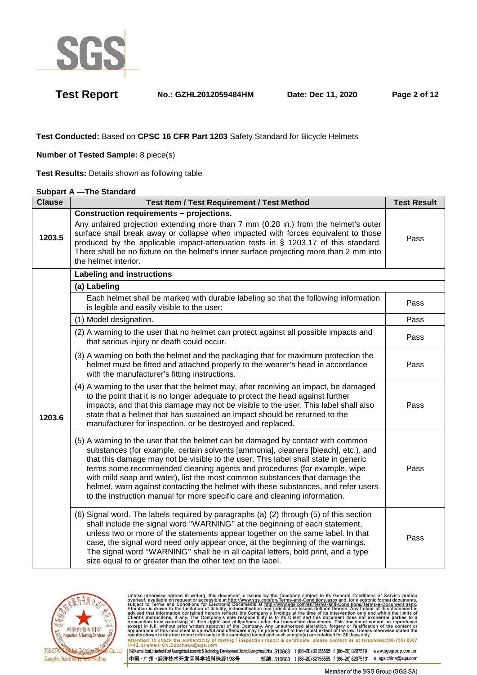

**Test Report No.: GZHL2012059484HM Date: Dec 11, 2020 Page 2 of 12** 

**Test Conducted:** Based on **CPSC 16 CFR Part 1203** Safety Standard for Bicycle Helmets

**Number of Tested Sample:** 8 piece(s)

**Test Results:** Details shown as following table

### **Subpart A —The Standard**

| <b>Clause</b> | <b>Test Item / Test Requirement / Test Method</b>                                                                                                                                                                                                                                                                                                                                                                                                                                                                                                                                        | <b>Test Result</b> |
|---------------|------------------------------------------------------------------------------------------------------------------------------------------------------------------------------------------------------------------------------------------------------------------------------------------------------------------------------------------------------------------------------------------------------------------------------------------------------------------------------------------------------------------------------------------------------------------------------------------|--------------------|
| 1203.5        | <b>Construction requirements - projections.</b><br>Any unfaired projection extending more than 7 mm (0.28 in.) from the helmet's outer<br>surface shall break away or collapse when impacted with forces equivalent to those<br>produced by the applicable impact-attenuation tests in § 1203.17 of this standard.<br>There shall be no fixture on the helmet's inner surface projecting more than 2 mm into<br>the helmet interior.                                                                                                                                                     | Pass               |
|               | <b>Labeling and instructions</b>                                                                                                                                                                                                                                                                                                                                                                                                                                                                                                                                                         |                    |
|               | (a) Labeling                                                                                                                                                                                                                                                                                                                                                                                                                                                                                                                                                                             |                    |
|               | Each helmet shall be marked with durable labeling so that the following information<br>is legible and easily visible to the user:                                                                                                                                                                                                                                                                                                                                                                                                                                                        | Pass               |
|               | (1) Model designation.                                                                                                                                                                                                                                                                                                                                                                                                                                                                                                                                                                   | Pass               |
|               | (2) A warning to the user that no helmet can protect against all possible impacts and<br>that serious injury or death could occur.                                                                                                                                                                                                                                                                                                                                                                                                                                                       | Pass               |
|               | (3) A warning on both the helmet and the packaging that for maximum protection the<br>helmet must be fitted and attached properly to the wearer's head in accordance<br>with the manufacturer's fitting instructions.                                                                                                                                                                                                                                                                                                                                                                    | Pass               |
| 1203.6        | (4) A warning to the user that the helmet may, after receiving an impact, be damaged<br>to the point that it is no longer adequate to protect the head against further<br>impacts, and that this damage may not be visible to the user. This label shall also<br>state that a helmet that has sustained an impact should be returned to the<br>manufacturer for inspection, or be destroyed and replaced.                                                                                                                                                                                | Pass               |
|               | (5) A warning to the user that the helmet can be damaged by contact with common<br>substances (for example, certain solvents [ammonia], cleaners [bleach], etc.), and<br>that this damage may not be visible to the user. This label shall state in generic<br>terms some recommended cleaning agents and procedures (for example, wipe<br>with mild soap and water), list the most common substances that damage the<br>helmet, warn against contacting the helmet with these substances, and refer users<br>to the instruction manual for more specific care and cleaning information. | Pass               |
|               | (6) Signal word. The labels required by paragraphs (a) (2) through (5) of this section<br>shall include the signal word "WARNING" at the beginning of each statement,<br>unless two or more of the statements appear together on the same label. In that<br>case, the signal word need only appear once, at the beginning of the warnings.<br>The signal word "WARNING" shall be in all capital letters, bold print, and a type<br>size equal to or greater than the other text on the label.                                                                                            | Pass               |



Unless otherwise agreed in writing, this document is issued by the Company subject to its General Conditions of Service printed<br>overleaf, available on request or accessible at http://www.sgs.com/en/Terms-and-Conditions.as Attention: To check the authenticity of testing / inspection report & certificate, please contact us at telephone: (86-755) 8307 1443, or email: CN.Doccheck@sgs 198 Kezhu Road,Scientech Park Guangzhou Economic & Technology Development District,Guangzhou,China 510663 t (86-20) 82155555 f (86-20) 82075191 www.sgsgroup.com.cn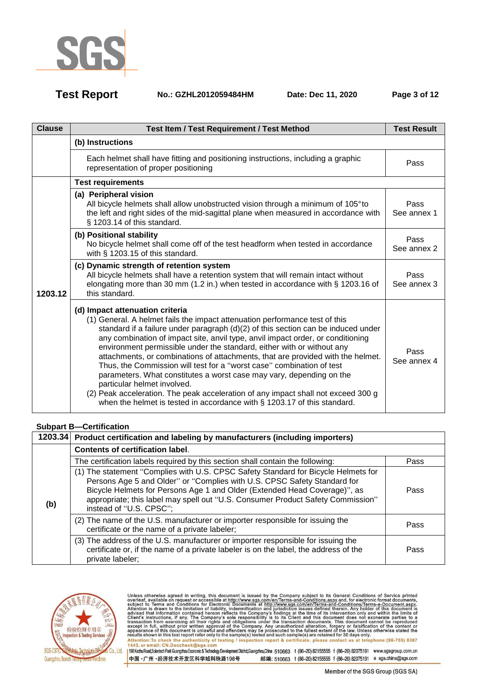

**Test Report No.: GZHL2012059484HM Date: Dec 11, 2020 Page 3 of 12** 

| <b>Clause</b> | <b>Test Item / Test Requirement / Test Method</b>                                                                                                                                                                                                                                                                                                                                                                                                                                                                                                                                                                                                                                                                                                                                                    | <b>Test Result</b>  |
|---------------|------------------------------------------------------------------------------------------------------------------------------------------------------------------------------------------------------------------------------------------------------------------------------------------------------------------------------------------------------------------------------------------------------------------------------------------------------------------------------------------------------------------------------------------------------------------------------------------------------------------------------------------------------------------------------------------------------------------------------------------------------------------------------------------------------|---------------------|
|               | (b) Instructions                                                                                                                                                                                                                                                                                                                                                                                                                                                                                                                                                                                                                                                                                                                                                                                     |                     |
|               | Each helmet shall have fitting and positioning instructions, including a graphic<br>representation of proper positioning                                                                                                                                                                                                                                                                                                                                                                                                                                                                                                                                                                                                                                                                             | Pass                |
|               | <b>Test requirements</b>                                                                                                                                                                                                                                                                                                                                                                                                                                                                                                                                                                                                                                                                                                                                                                             |                     |
|               | (a) Peripheral vision<br>All bicycle helmets shall allow unobstructed vision through a minimum of 105° to<br>the left and right sides of the mid-sagittal plane when measured in accordance with<br>§ 1203.14 of this standard.                                                                                                                                                                                                                                                                                                                                                                                                                                                                                                                                                                      | Pass<br>See annex 1 |
|               | (b) Positional stability<br>No bicycle helmet shall come off of the test headform when tested in accordance<br>with § 1203.15 of this standard.                                                                                                                                                                                                                                                                                                                                                                                                                                                                                                                                                                                                                                                      | Pass<br>See annex 2 |
| 1203.12       | (c) Dynamic strength of retention system<br>All bicycle helmets shall have a retention system that will remain intact without<br>elongating more than 30 mm (1.2 in.) when tested in accordance with § 1203.16 of<br>this standard.                                                                                                                                                                                                                                                                                                                                                                                                                                                                                                                                                                  | Pass<br>See annex 3 |
|               | (d) Impact attenuation criteria<br>(1) General. A helmet fails the impact attenuation performance test of this<br>standard if a failure under paragraph (d)(2) of this section can be induced under<br>any combination of impact site, anvil type, anvil impact order, or conditioning<br>environment permissible under the standard, either with or without any<br>attachments, or combinations of attachments, that are provided with the helmet.<br>Thus, the Commission will test for a "worst case" combination of test<br>parameters. What constitutes a worst case may vary, depending on the<br>particular helmet involved.<br>(2) Peak acceleration. The peak acceleration of any impact shall not exceed 300 g<br>when the helmet is tested in accordance with § 1203.17 of this standard. | Pass<br>See annex 4 |

## **Subpart B—Certification**

|     | 1203.34 Product certification and labeling by manufacturers (including importers)                                                                                                                                                                                                                                                                         |      |
|-----|-----------------------------------------------------------------------------------------------------------------------------------------------------------------------------------------------------------------------------------------------------------------------------------------------------------------------------------------------------------|------|
|     | <b>Contents of certification label.</b>                                                                                                                                                                                                                                                                                                                   |      |
|     | The certification labels required by this section shall contain the following:                                                                                                                                                                                                                                                                            | Pass |
| (b) | (1) The statement "Complies with U.S. CPSC Safety Standard for Bicycle Helmets for<br>Persons Age 5 and Older" or "Complies with U.S. CPSC Safety Standard for<br>Bicycle Helmets for Persons Age 1 and Older (Extended Head Coverage)", as<br>appropriate; this label may spell out "U.S. Consumer Product Safety Commission"<br>instead of "U.S. CPSC"; | Pass |
|     | (2) The name of the U.S. manufacturer or importer responsible for issuing the<br>certificate or the name of a private labeler;                                                                                                                                                                                                                            | Pass |
|     | (3) The address of the U.S. manufacturer or importer responsible for issuing the<br>certificate or, if the name of a private labeler is on the label, the address of the<br>private labeler;                                                                                                                                                              | Pass |

中国·广州·经济技术开发区科学城科珠路198号



Unless otherwise agreed in writing, this document is issued by the Company subject to its General Conditions of Service printed<br>overleaf, available on request or accessible at http://www.sgs.com/en/Terms-and-Conditions.as Antention: To check the authenticity of testing / inspection report & certificate, please contact us at telephone: (86-755) 8307<br>1443, or email: CN.Doccheck@sgs.com<br>1998 Kezhu Road,Sciented: Park Guargzhou Economic & Techn

Member of the SGS Group (SGS SA)

邮编: 510663 t (86-20) 82155555 f (86-20) 82075191 e sgs.china@sgs.com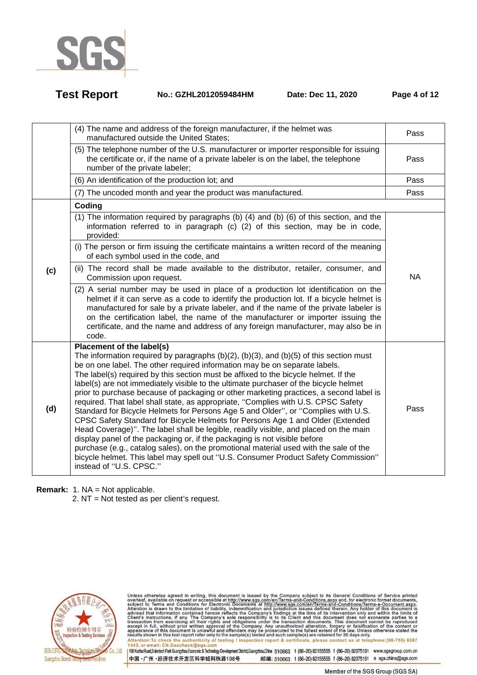

| <b>Test Report</b> | No.: GZHL2012059484HM | Date: Dec 11, 2020 | Page 4 of 12 |
|--------------------|-----------------------|--------------------|--------------|
|                    |                       |                    |              |

|     | (4) The name and address of the foreign manufacturer, if the helmet was<br>manufactured outside the United States;                                                                                                                                                                                                                                                                                                                                                                                                                                                                                                                                                                                                                                                                                                                                                                                                                                                                                                                                                                                                    | Pass      |
|-----|-----------------------------------------------------------------------------------------------------------------------------------------------------------------------------------------------------------------------------------------------------------------------------------------------------------------------------------------------------------------------------------------------------------------------------------------------------------------------------------------------------------------------------------------------------------------------------------------------------------------------------------------------------------------------------------------------------------------------------------------------------------------------------------------------------------------------------------------------------------------------------------------------------------------------------------------------------------------------------------------------------------------------------------------------------------------------------------------------------------------------|-----------|
|     | (5) The telephone number of the U.S. manufacturer or importer responsible for issuing<br>the certificate or, if the name of a private labeler is on the label, the telephone<br>number of the private labeler;                                                                                                                                                                                                                                                                                                                                                                                                                                                                                                                                                                                                                                                                                                                                                                                                                                                                                                        | Pass      |
|     | (6) An identification of the production lot; and                                                                                                                                                                                                                                                                                                                                                                                                                                                                                                                                                                                                                                                                                                                                                                                                                                                                                                                                                                                                                                                                      | Pass      |
|     | (7) The uncoded month and year the product was manufactured.                                                                                                                                                                                                                                                                                                                                                                                                                                                                                                                                                                                                                                                                                                                                                                                                                                                                                                                                                                                                                                                          | Pass      |
|     | Coding                                                                                                                                                                                                                                                                                                                                                                                                                                                                                                                                                                                                                                                                                                                                                                                                                                                                                                                                                                                                                                                                                                                |           |
|     | (1) The information required by paragraphs (b) (4) and (b) (6) of this section, and the<br>information referred to in paragraph (c) (2) of this section, may be in code,<br>provided:                                                                                                                                                                                                                                                                                                                                                                                                                                                                                                                                                                                                                                                                                                                                                                                                                                                                                                                                 |           |
|     | (i) The person or firm issuing the certificate maintains a written record of the meaning<br>of each symbol used in the code, and                                                                                                                                                                                                                                                                                                                                                                                                                                                                                                                                                                                                                                                                                                                                                                                                                                                                                                                                                                                      |           |
| (c) | (ii) The record shall be made available to the distributor, retailer, consumer, and<br>Commission upon request.                                                                                                                                                                                                                                                                                                                                                                                                                                                                                                                                                                                                                                                                                                                                                                                                                                                                                                                                                                                                       | <b>NA</b> |
|     | (2) A serial number may be used in place of a production lot identification on the<br>helmet if it can serve as a code to identify the production lot. If a bicycle helmet is<br>manufactured for sale by a private labeler, and if the name of the private labeler is<br>on the certification label, the name of the manufacturer or importer issuing the<br>certificate, and the name and address of any foreign manufacturer, may also be in<br>code.                                                                                                                                                                                                                                                                                                                                                                                                                                                                                                                                                                                                                                                              |           |
| (d) | Placement of the label(s)<br>The information required by paragraphs (b)(2), (b)(3), and (b)(5) of this section must<br>be on one label. The other required information may be on separate labels.<br>The label(s) required by this section must be affixed to the bicycle helmet. If the<br>label(s) are not immediately visible to the ultimate purchaser of the bicycle helmet<br>prior to purchase because of packaging or other marketing practices, a second label is<br>required. That label shall state, as appropriate, "Complies with U.S. CPSC Safety<br>Standard for Bicycle Helmets for Persons Age 5 and Older", or "Complies with U.S.<br>CPSC Safety Standard for Bicycle Helmets for Persons Age 1 and Older (Extended<br>Head Coverage)". The label shall be legible, readily visible, and placed on the main<br>display panel of the packaging or, if the packaging is not visible before<br>purchase (e.g., catalog sales), on the promotional material used with the sale of the<br>bicycle helmet. This label may spell out "U.S. Consumer Product Safety Commission"<br>instead of "U.S. CPSC." | Pass      |

**Remark:** 1. NA = Not applicable.

2. NT = Not tested as per client's request.



Unless otherwise agreed in writing, this document is issued by the Company subject to its General Conditions of Service printed<br>overleaf, available on request or accessible at http://www.sgs.com/en/Terms-and-Conditions.as Attention: To check the authenticity of testing / inspection report & certificate, please contact us at telephone: (86-755) 8307<br>1443, or email: CN.Doccheck@sgs.com<br>1998 Kezhu Road,Scientech Park Guargzhou Economic & Techn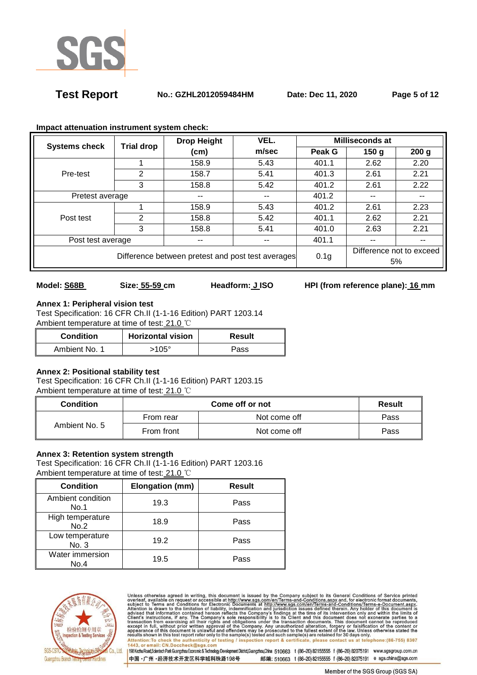

**Test Report No.: GZHL2012059484HM Date: Dec 11, 2020 Page 5 of 12** 

| <b>Systems check</b>                              | <b>Trial drop</b> | <b>Drop Height</b> | VEL.                     | <b>Milliseconds at</b> |                          |                  |
|---------------------------------------------------|-------------------|--------------------|--------------------------|------------------------|--------------------------|------------------|
|                                                   |                   | (cm)               | m/sec                    | Peak G                 | 150 <sub>q</sub>         | 200 <sub>g</sub> |
|                                                   |                   | 158.9              | 5.43                     | 401.1                  | 2.62                     | 2.20             |
| Pre-test                                          | 2                 | 158.7              | 5.41                     | 401.3                  | 2.61                     | 2.21             |
|                                                   | 3                 | 158.8              | 5.42                     | 401.2                  | 2.61                     | 2.22             |
| Pretest average                                   |                   | --                 | $\overline{\phantom{a}}$ | 401.2                  |                          |                  |
| Post test                                         |                   | 158.9              | 5.43                     | 401.2                  | 2.61                     | 2.23             |
|                                                   | 2                 | 158.8              | 5.42                     | 401.1                  | 2.62                     | 2.21             |
|                                                   | 3                 | 158.8              | 5.41                     | 401.0                  | 2.63                     | 2.21             |
| Post test average<br>--                           |                   |                    | $- -$                    | 401.1                  | --                       | --               |
| Difference between pretest and post test averages |                   |                    |                          |                        | Difference not to exceed |                  |
|                                                   |                   |                    |                          | 0.1 <sub>g</sub>       |                          | 5%               |

### **Impact attenuation instrument system check:**

# **Annex 1: Peripheral vision test**

Test Specification: 16 CFR Ch.II (1-1-16 Edition) PART 1203.14 Ambient temperature at time of test: 21.0 ℃

| <b>Condition</b> | <b>Horizontal vision</b> | Result |
|------------------|--------------------------|--------|
| Ambient No. 1    | 105 $^{\circ}$           | Pass   |

## **Annex 2: Positional stability test**

Test Specification: 16 CFR Ch.II (1-1-16 Edition) PART 1203.15 Ambient temperature at time of test: 21.0 ℃

| Condition     |            | <b>Result</b> |      |
|---------------|------------|---------------|------|
| Ambient No. 5 | From rear  | Not come off  | Pass |
|               | From front | Not come off  | Pass |

## **Annex 3: Retention system strength**

Test Specification: 16 CFR Ch.II (1-1-16 Edition) PART 1203.16 Ambient temperature at time of test: 21.0 ℃

| <b>Condition</b>          | Elongation (mm) | <b>Result</b> |
|---------------------------|-----------------|---------------|
| Ambient condition<br>No.1 | 19.3            | Pass          |
| High temperature<br>No.2  | 18.9            | Pass          |
| Low temperature<br>No. 3  | 19.2            | Pass          |
| Water immersion<br>No.4   | 19.5            | Pass          |



Unless otherwise agreed in writing, this document is issued by the Company subject to its General Conditions of Service printed<br>overleaf, available on request or accessible at http://www.sgs.com/en/Terms-and-Conditions.as Attention: To check the authenticity of testing / inspection report & certificate, please contact us at telephone: (86-755) 8307<br>1443, or email: CN.Doccheck@sgs.com

198 Kezhu Road,Scientech Park Guangzhou Economic & Technology Development District,Guangzhou,China 510663 t (86-20) 82155555 f (86-20) 82075191 www.sgsgroup.com.cn 中国·广州·经济技术开发区科学城科珠路198号 邮编: 510663 t (86-20) 82155555 f (86-20) 82075191 e sgs.china@sgs.com

**Model: S68B** Size: 55-59 cm Headform: JISO HPI (from reference plane): 16 mm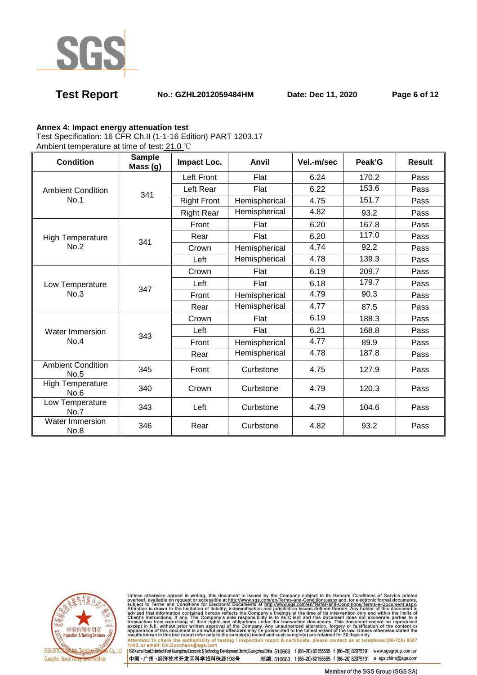

## **Test Report No.: GZHL2012059484HM Date: Dec 11, 2020 Page 6 of 12**

### **Annex 4: Impact energy attenuation test**

Test Specification: 16 CFR Ch.II (1-1-16 Edition) PART 1203.17

Ambient temperature at time of test: 21.0 ℃

| <b>Condition</b>                 | <b>Sample</b><br>Mass (g) | Impact Loc.            | Anvil         | Vel.-m/sec | Peak'G | <b>Result</b> |
|----------------------------------|---------------------------|------------------------|---------------|------------|--------|---------------|
|                                  |                           | Left Front             | Flat          | 6.24       | 170.2  | Pass          |
| <b>Ambient Condition</b>         | 341                       | Left Rear              | Flat          | 6.22       | 153.6  | Pass          |
| No.1                             |                           | <b>Right Front</b>     | Hemispherical | 4.75       | 151.7  | Pass          |
|                                  |                           | <b>Right Rear</b>      | Hemispherical | 4.82       | 93.2   | Pass          |
|                                  |                           | Front                  | Flat          | 6.20       | 167.8  | Pass          |
| High Temperature                 | 341                       | Rear                   | Flat          | 6.20       | 117.0  | Pass          |
| No.2                             |                           | Crown                  | Hemispherical | 4.74       | 92.2   | Pass          |
|                                  |                           | Left                   | Hemispherical | 4.78       | 139.3  | Pass          |
|                                  |                           | Crown                  | Flat          | 6.19       | 209.7  | Pass          |
| Low Temperature                  | 347                       | Left                   | Flat          | 6.18       | 179.7  | Pass          |
| No.3                             |                           | Front                  | Hemispherical | 4.79       | 90.3   | Pass          |
|                                  |                           | Rear                   | Hemispherical | 4.77       | 87.5   | Pass          |
| Water Immersion                  |                           | Crown<br>Left<br>Front | Flat          | 6.19       | 188.3  | Pass          |
|                                  | 343                       |                        | Flat          | 6.21       | 168.8  | Pass          |
| No.4                             |                           |                        | Hemispherical | 4.77       | 89.9   | Pass          |
|                                  |                           | Rear                   | Hemispherical | 4.78       | 187.8  | Pass          |
| <b>Ambient Condition</b><br>No.5 | 345                       | Front                  | Curbstone     | 4.75       | 127.9  | Pass          |
| <b>High Temperature</b><br>No.6  | 340                       | Crown                  | Curbstone     | 4.79       | 120.3  | Pass          |
| Low Temperature<br>No.7          | 343                       | Left                   | Curbstone     | 4.79       | 104.6  | Pass          |
| Water Immersion<br><b>No.8</b>   | 346                       | Rear                   | Curbstone     | 4.82       | 93.2   | Pass          |



Unless otherwise agreed in writing, this document is issued by the Company subject to its General Conditions of Service printed<br>overleaf, available on request or accessible at http://www.sgs.com/en/Terms-and-Conditions.as Attention:To check the authenticity of testing / inspection report & certificate, please contact us at telephone:(86-755) 8307<br>1443, or email: CN.Doccheck@sgs.com

198 Kezhu Road,Scientech Park Guangzhou Economic & Technology Development District,Guangzhou,China 510663 t (86-20) 82155555 f (86-20) 82075191 www.sgsgroup.com.cn 中国·广州·经济技术开发区科学城科珠路198号 邮编: 510663 t (86-20) 82155555 f (86-20) 82075191 e sgs.china@sgs.com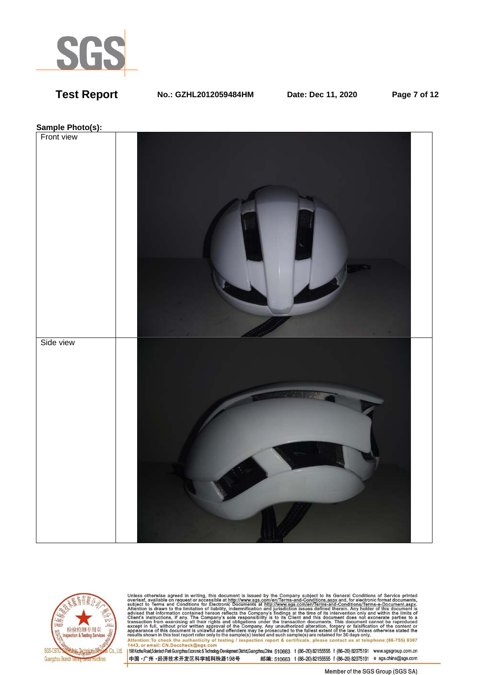

**Test Report No.: GZHL2012059484HM Date: Dec 11, 2020 Page 7 of 12** 





Unless otherwise agreed in writing, this document is issued by the Company subject to its General Conditions of Service printed<br>overleaf, available on request or accessible at http://www.sgs.com/en/Terms-and-Conditions.as Attention: To check the authenticity of testing / inspection report & certificate, please contact us at telephone: (86-755) 8307<br>1443, or email: CN.Doccheck@sgs.com<br>1998 Kezhu Road,Scientech Park Guargzhou Economic & Techn

中国·广州·经济技术开发区科学城科珠路198号 邮编: 510663 t (86-20) 82155555 f (86-20) 82075191 e sgs.china@sgs.com

Member of the SGS Group (SGS SA)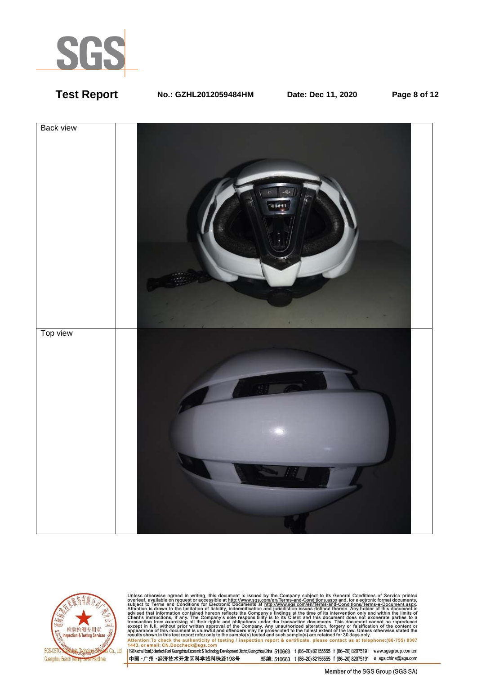

## **Test Report No.: GZHL2012059484HM Date: Dec 11, 2020 Page 8 of 12**





Unless otherwise agreed in writing, this document is issued by the Company subject to its General Conditions of Service printed<br>overleaf, available on request or accessible at http://www.sgs.com/en/Terms-and-Conditions.as Attention: To check the authenticity of testing / inspection report & certificate, please contact us at telephone: (86-755) 8307<br>1443, or email: CN.Doccheck@sgs.com<br>1998 Kezhu Road,Scientech Park Guargzhou Economic & Techn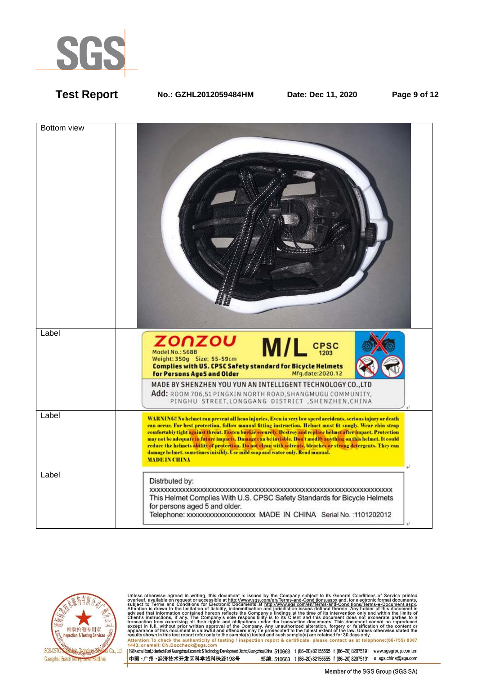

**Test Report No.: GZHL2012059484HM Date: Dec 11, 2020 Page 9 of 12** 





Unless otherwise agreed in writing, this document is issued by the Company subject to its General Conditions of Service printed<br>overleaf, available on request or accessible at http://www.sgs.com/en/Terms-and-Conditions.as Attention:To check the authenticity of testing / inspection report & certificate, please contact us at telephone:(86-755) 8307<br>1443, or email: CN.Doccheck@sgs.com

198 Kezhu Road,Scientech Park Guangzhou Economic & Technology Development District,Guangzhou,China 510663 t (86-20) 82155555 f (86-20) 82075191 www.sgsgroup.com.cn 中国·广州·经济技术开发区科学城科珠路198号 邮编: 510663 t (86-20) 82155555 f (86-20) 82075191 e sgs.china@sgs.com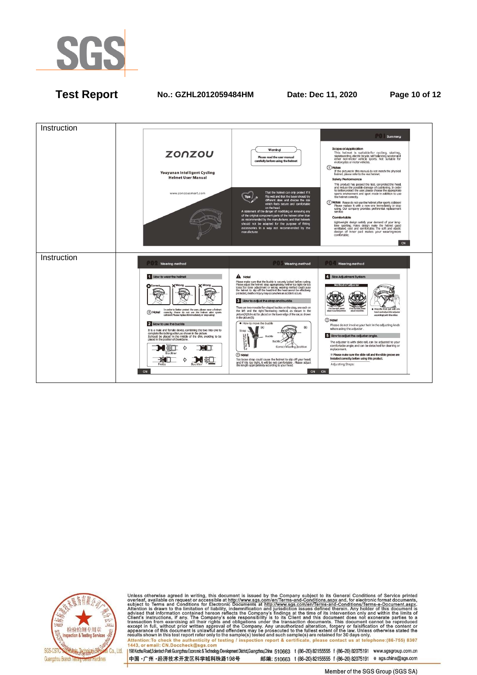

## **Test Report No.: GZHL2012059484HM Date: Dec 11, 2020 Page 10 of 12**





Unless otherwise agreed in writing, this document is issued by the Company subject to its General Conditions of Service printed<br>overleaf, available on request or accessible at http://www.sgs.com/en/Terms-and-Conditions.as Antention: To check the authenticity of testing / inspection report & certificate, please contact us at telephone: (86-755) 8307<br>1443, or email: CN.Doccheck@sgs.com<br>1998 Kezhu Road,Sciented: Park Guargzhou Economic & Techn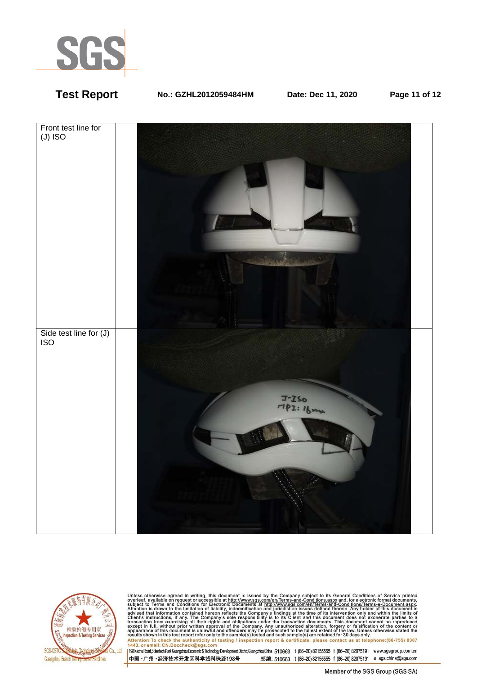

## **Test Report No.: GZHL2012059484HM Date: Dec 11, 2020 Page 11 of 12**





Unless otherwise agreed in writing, this document is issued by the Company subject to its General Conditions of Service printed<br>overleaf, available on request or accessible at http://www.sgs.com/en/Terms-and-Conditions.as Attention: To check the authenticity of testing / inspection report & certificate, please contact us at telephone: (86-755) 8307<br>1443, or email: CN.Doccheck@sgs.com<br>1998 Kezhu Road,Scientech Park Guargzhou Economic & Techn